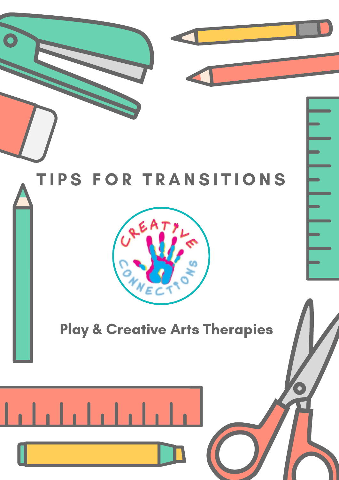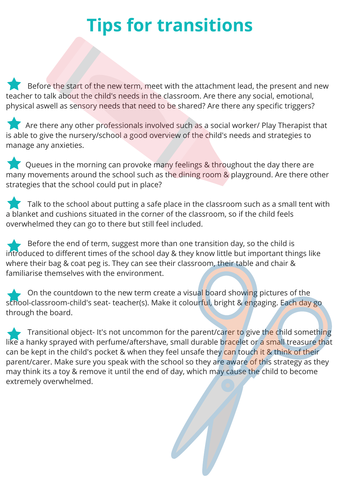## **Tips for transitions**

Before the start of the new term, meet with the attachment lead, the present and new teacher to talk about the child's needs in the classroom. Are there any social, emotional, physical aswell as sensory needs that need to be shared? Are there any specific triggers?

Are there any other professionals involved such as a social worker/ Play Therapist that is able to give the nursery/school a good overview of the child's needs and strategies to manage any anxieties.

Queues in the morning can provoke many feelings & throughout the day there are many movements around the school such as the dining room & playground. Are there other strategies that the school could put in place?

 $\blacksquare$  Talk to the school about putting a safe place in the classroom such as a small tent with a blanket and cushions situated in the corner of the classroom, so if the child feels overwhelmed they can go to there but still feel included.

Before the end of term, suggest more than one transition day, so the child is introduced to different times of the school day & they know little but important things like where their bag & coat peg is. They can see their classroom, their table and chair & familiarise themselves with the environment.

 $\sim$  On the countdown to the new term create a visu<mark>al b</mark>oard showing pictures of the school-classroom-child's seat- teacher(s). Make it colourful, bright & engaging. Each day go through the board.

Transitional object- It's not uncommon for the parent/carer to give the child something like a hanky sprayed with perfume/aftershave, small durable bracelet or a small treasure that can be kept in the child's pocket & when they feel unsafe they can touch it & think of their parent/carer. Make sure you speak with the school so they are aware of this strategy as they may think its a toy & remove it until the end of day, which may cause the child to become extremely overwhelmed.